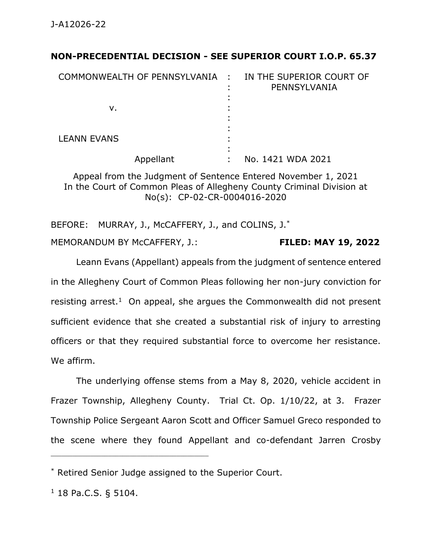## **NON-PRECEDENTIAL DECISION - SEE SUPERIOR COURT I.O.P. 65.37**

| COMMONWEALTH OF PENNSYLVANIA : | IN THE SUPERIOR COURT OF<br>PENNSYLVANIA |
|--------------------------------|------------------------------------------|
| v.                             |                                          |
| <b>LEANN EVANS</b>             |                                          |
| Appellant                      | No. 1421 WDA 2021                        |

Appeal from the Judgment of Sentence Entered November 1, 2021 In the Court of Common Pleas of Allegheny County Criminal Division at No(s): CP-02-CR-0004016-2020

BEFORE: MURRAY, J., McCAFFERY, J., and COLINS, J.<sup>\*</sup> MEMORANDUM BY McCAFFERY, J.: **FILED: MAY 19, 2022**

Leann Evans (Appellant) appeals from the judgment of sentence entered in the Allegheny Court of Common Pleas following her non-jury conviction for resisting arrest.<sup>1</sup> On appeal, she argues the Commonwealth did not present sufficient evidence that she created a substantial risk of injury to arresting officers or that they required substantial force to overcome her resistance. We affirm.

The underlying offense stems from a May 8, 2020, vehicle accident in Frazer Township, Allegheny County. Trial Ct. Op. 1/10/22, at 3. Frazer Township Police Sergeant Aaron Scott and Officer Samuel Greco responded to the scene where they found Appellant and co-defendant Jarren Crosby

\_\_\_\_\_\_\_\_\_\_\_\_\_\_\_\_\_\_\_\_\_\_\_\_\_\_\_\_\_\_\_\_\_\_\_\_\_\_\_\_\_\_\_\_

<sup>\*</sup> Retired Senior Judge assigned to the Superior Court.

<sup>1</sup> 18 Pa.C.S. § 5104.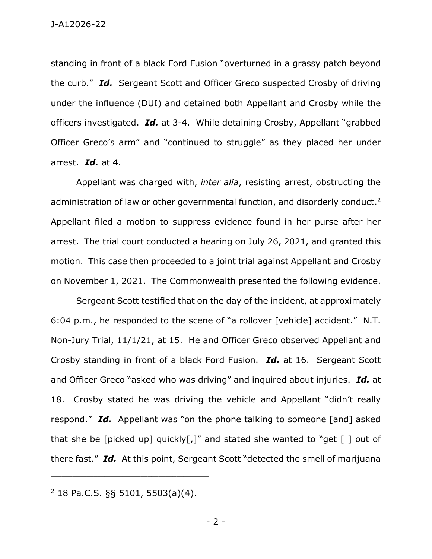standing in front of a black Ford Fusion "overturned in a grassy patch beyond the curb." *Id.* Sergeant Scott and Officer Greco suspected Crosby of driving under the influence (DUI) and detained both Appellant and Crosby while the officers investigated. *Id.* at 3-4. While detaining Crosby, Appellant "grabbed Officer Greco's arm" and "continued to struggle" as they placed her under arrest. *Id.* at 4.

Appellant was charged with, *inter alia*, resisting arrest, obstructing the administration of law or other governmental function, and disorderly conduct.<sup>2</sup> Appellant filed a motion to suppress evidence found in her purse after her arrest. The trial court conducted a hearing on July 26, 2021, and granted this motion. This case then proceeded to a joint trial against Appellant and Crosby on November 1, 2021. The Commonwealth presented the following evidence.

Sergeant Scott testified that on the day of the incident, at approximately 6:04 p.m., he responded to the scene of "a rollover [vehicle] accident." N.T. Non-Jury Trial, 11/1/21, at 15. He and Officer Greco observed Appellant and Crosby standing in front of a black Ford Fusion. *Id.* at 16. Sergeant Scott and Officer Greco "asked who was driving" and inquired about injuries. *Id.* at 18. Crosby stated he was driving the vehicle and Appellant "didn't really respond." *Id.* Appellant was "on the phone talking to someone [and] asked that she be [picked up] quickly[,]" and stated she wanted to "get  $\lceil$  ] out of there fast." *Id.* At this point, Sergeant Scott "detected the smell of marijuana

 $2$  18 Pa.C.S. §§ 5101, 5503(a)(4).

\_\_\_\_\_\_\_\_\_\_\_\_\_\_\_\_\_\_\_\_\_\_\_\_\_\_\_\_\_\_\_\_\_\_\_\_\_\_\_\_\_\_\_\_

- 2 -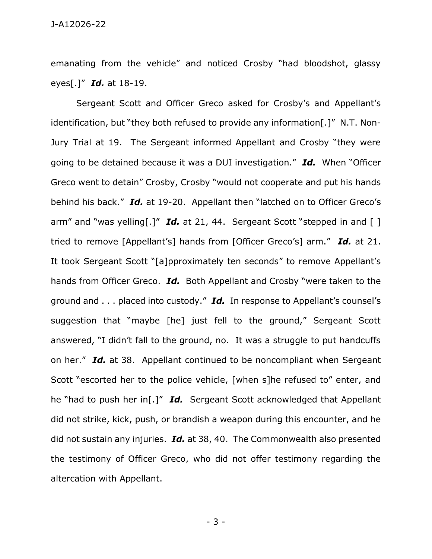emanating from the vehicle" and noticed Crosby "had bloodshot, glassy eyes[.]" *Id.* at 18-19.

Sergeant Scott and Officer Greco asked for Crosby's and Appellant's identification, but "they both refused to provide any information[.]" N.T. Non-Jury Trial at 19. The Sergeant informed Appellant and Crosby "they were going to be detained because it was a DUI investigation." *Id.* When "Officer Greco went to detain" Crosby, Crosby "would not cooperate and put his hands behind his back." *Id.* at 19-20. Appellant then "latched on to Officer Greco's arm" and "was yelling[.]" **Id.** at 21, 44. Sergeant Scott "stepped in and [] tried to remove [Appellant's] hands from [Officer Greco's] arm." *Id.* at 21. It took Sergeant Scott "[a]pproximately ten seconds" to remove Appellant's hands from Officer Greco. *Id.* Both Appellant and Crosby "were taken to the ground and . . . placed into custody." *Id.* In response to Appellant's counsel's suggestion that "maybe [he] just fell to the ground," Sergeant Scott answered, "I didn't fall to the ground, no. It was a struggle to put handcuffs on her." *Id.* at 38. Appellant continued to be noncompliant when Sergeant Scott "escorted her to the police vehicle, [when s]he refused to" enter, and he "had to push her in[.]" *Id.* Sergeant Scott acknowledged that Appellant did not strike, kick, push, or brandish a weapon during this encounter, and he did not sustain any injuries. *Id.* at 38, 40. The Commonwealth also presented the testimony of Officer Greco, who did not offer testimony regarding the altercation with Appellant.

- 3 -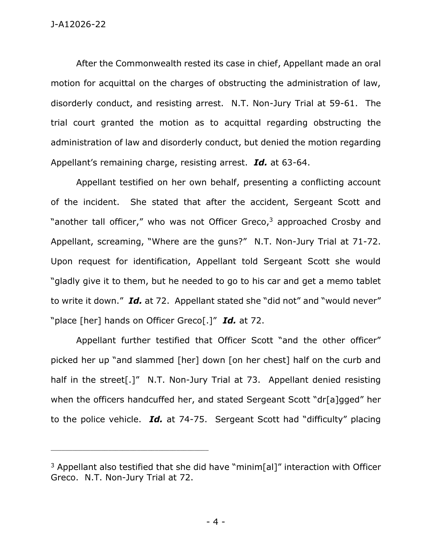After the Commonwealth rested its case in chief, Appellant made an oral motion for acquittal on the charges of obstructing the administration of law, disorderly conduct, and resisting arrest. N.T. Non-Jury Trial at 59-61. The trial court granted the motion as to acquittal regarding obstructing the administration of law and disorderly conduct, but denied the motion regarding Appellant's remaining charge, resisting arrest. *Id.* at 63-64.

Appellant testified on her own behalf, presenting a conflicting account of the incident. She stated that after the accident, Sergeant Scott and "another tall officer," who was not Officer Greco,<sup>3</sup> approached Crosby and Appellant, screaming, "Where are the guns?" N.T. Non-Jury Trial at 71-72. Upon request for identification, Appellant told Sergeant Scott she would "gladly give it to them, but he needed to go to his car and get a memo tablet to write it down." *Id.* at 72. Appellant stated she "did not" and "would never" "place [her] hands on Officer Greco[.]" *Id.* at 72.

Appellant further testified that Officer Scott "and the other officer" picked her up "and slammed [her] down [on her chest] half on the curb and half in the street[.]" N.T. Non-Jury Trial at 73. Appellant denied resisting when the officers handcuffed her, and stated Sergeant Scott "dr[a]gged" her to the police vehicle. *Id.* at 74-75. Sergeant Scott had "difficulty" placing

\_\_\_\_\_\_\_\_\_\_\_\_\_\_\_\_\_\_\_\_\_\_\_\_\_\_\_\_\_\_\_\_\_\_\_\_\_\_\_\_\_\_\_\_

 $3$  Appellant also testified that she did have "minim[al]" interaction with Officer Greco. N.T. Non-Jury Trial at 72.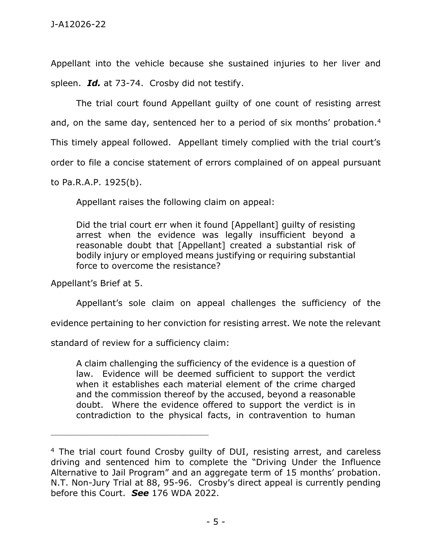Appellant into the vehicle because she sustained injuries to her liver and spleen. *Id.* at 73-74. Crosby did not testify.

The trial court found Appellant guilty of one count of resisting arrest and, on the same day, sentenced her to a period of six months' probation. $4$ This timely appeal followed. Appellant timely complied with the trial court's order to file a concise statement of errors complained of on appeal pursuant to Pa.R.A.P. 1925(b).

Appellant raises the following claim on appeal:

Did the trial court err when it found [Appellant] guilty of resisting arrest when the evidence was legally insufficient beyond a reasonable doubt that [Appellant] created a substantial risk of bodily injury or employed means justifying or requiring substantial force to overcome the resistance?

Appellant's Brief at 5.

Appellant's sole claim on appeal challenges the sufficiency of the

evidence pertaining to her conviction for resisting arrest. We note the relevant

standard of review for a sufficiency claim:

\_\_\_\_\_\_\_\_\_\_\_\_\_\_\_\_\_\_\_\_\_\_\_\_\_\_\_\_\_\_\_\_\_\_\_\_\_\_\_\_\_\_\_\_

A claim challenging the sufficiency of the evidence is a question of law. Evidence will be deemed sufficient to support the verdict when it establishes each material element of the crime charged and the commission thereof by the accused, beyond a reasonable doubt. Where the evidence offered to support the verdict is in contradiction to the physical facts, in contravention to human

<sup>&</sup>lt;sup>4</sup> The trial court found Crosby guilty of DUI, resisting arrest, and careless driving and sentenced him to complete the "Driving Under the Influence Alternative to Jail Program" and an aggregate term of 15 months' probation. N.T. Non-Jury Trial at 88, 95-96. Crosby's direct appeal is currently pending before this Court. *See* 176 WDA 2022.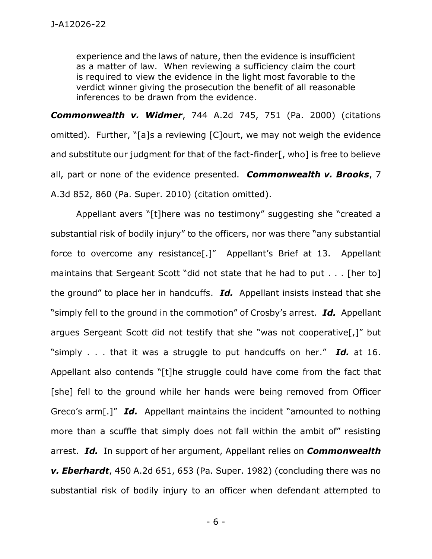experience and the laws of nature, then the evidence is insufficient as a matter of law. When reviewing a sufficiency claim the court is required to view the evidence in the light most favorable to the verdict winner giving the prosecution the benefit of all reasonable inferences to be drawn from the evidence.

*Commonwealth v. Widmer*, 744 A.2d 745, 751 (Pa. 2000) (citations omitted). Further, "[a]s a reviewing [C]ourt, we may not weigh the evidence and substitute our judgment for that of the fact-finder[, who] is free to believe all, part or none of the evidence presented. *Commonwealth v. Brooks*, 7 A.3d 852, 860 (Pa. Super. 2010) (citation omitted).

Appellant avers "[t]here was no testimony" suggesting she "created a substantial risk of bodily injury" to the officers, nor was there "any substantial force to overcome any resistance[.]" Appellant's Brief at 13. Appellant maintains that Sergeant Scott "did not state that he had to put . . . [her to] the ground" to place her in handcuffs. *Id.* Appellant insists instead that she "simply fell to the ground in the commotion" of Crosby's arrest. *Id.* Appellant argues Sergeant Scott did not testify that she "was not cooperative[,]" but "simply . . . that it was a struggle to put handcuffs on her." *Id.* at 16. Appellant also contends "[t]he struggle could have come from the fact that [she] fell to the ground while her hands were being removed from Officer Greco's arm[.]" *Id.* Appellant maintains the incident "amounted to nothing more than a scuffle that simply does not fall within the ambit of" resisting arrest. *Id.* In support of her argument, Appellant relies on *Commonwealth v. Eberhardt*, 450 A.2d 651, 653 (Pa. Super. 1982) (concluding there was no substantial risk of bodily injury to an officer when defendant attempted to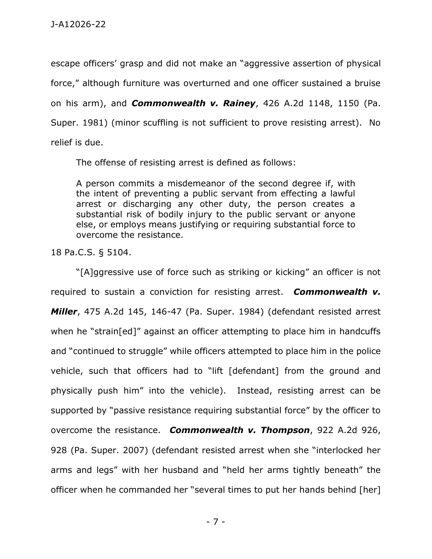escape officers' grasp and did not make an "aggressive assertion of physical force," although furniture was overturned and one officer sustained a bruise on his arm), and *Commonwealth v. Rainey*, 426 A.2d 1148, 1150 (Pa. Super. 1981) (minor scuffling is not sufficient to prove resisting arrest). No relief is due.

The offense of resisting arrest is defined as follows:

A person commits a misdemeanor of the second degree if, with the intent of preventing a public servant from effecting a lawful arrest or discharging any other duty, the person creates a substantial risk of bodily injury to the public servant or anyone else, or employs means justifying or requiring substantial force to overcome the resistance.

18 Pa.C.S. § 5104.

"[A]ggressive use of force such as striking or kicking" an officer is not required to sustain a conviction for resisting arrest. *Commonwealth v. Miller*, 475 A.2d 145, 146-47 (Pa. Super. 1984) (defendant resisted arrest when he "strain[ed]" against an officer attempting to place him in handcuffs and "continued to struggle" while officers attempted to place him in the police vehicle, such that officers had to "lift [defendant] from the ground and physically push him" into the vehicle). Instead, resisting arrest can be supported by "passive resistance requiring substantial force" by the officer to overcome the resistance. *Commonwealth v. Thompson*, 922 A.2d 926, 928 (Pa. Super. 2007) (defendant resisted arrest when she "interlocked her arms and legs" with her husband and "held her arms tightly beneath" the officer when he commanded her "several times to put her hands behind [her]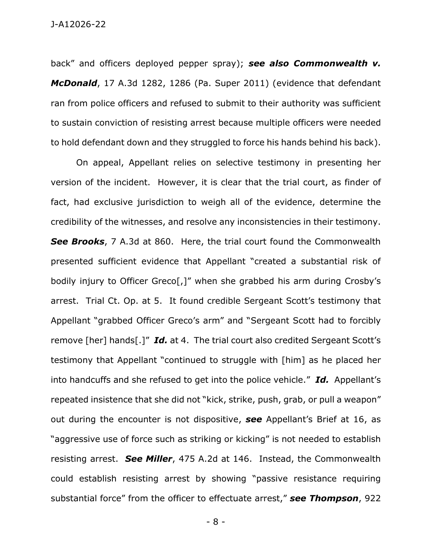back" and officers deployed pepper spray); *see also Commonwealth v. McDonald*, 17 A.3d 1282, 1286 (Pa. Super 2011) (evidence that defendant ran from police officers and refused to submit to their authority was sufficient to sustain conviction of resisting arrest because multiple officers were needed to hold defendant down and they struggled to force his hands behind his back).

On appeal, Appellant relies on selective testimony in presenting her version of the incident. However, it is clear that the trial court, as finder of fact, had exclusive jurisdiction to weigh all of the evidence, determine the credibility of the witnesses, and resolve any inconsistencies in their testimony. *See Brooks*, 7 A.3d at 860. Here, the trial court found the Commonwealth presented sufficient evidence that Appellant "created a substantial risk of bodily injury to Officer Greco[,]" when she grabbed his arm during Crosby's arrest. Trial Ct. Op. at 5. It found credible Sergeant Scott's testimony that Appellant "grabbed Officer Greco's arm" and "Sergeant Scott had to forcibly remove [her] hands[.]" *Id.* at 4. The trial court also credited Sergeant Scott's testimony that Appellant "continued to struggle with [him] as he placed her into handcuffs and she refused to get into the police vehicle." *Id.* Appellant's repeated insistence that she did not "kick, strike, push, grab, or pull a weapon" out during the encounter is not dispositive, *see* Appellant's Brief at 16, as "aggressive use of force such as striking or kicking" is not needed to establish resisting arrest. *See Miller*, 475 A.2d at 146. Instead, the Commonwealth could establish resisting arrest by showing "passive resistance requiring substantial force" from the officer to effectuate arrest," *see Thompson*, 922

- 8 -